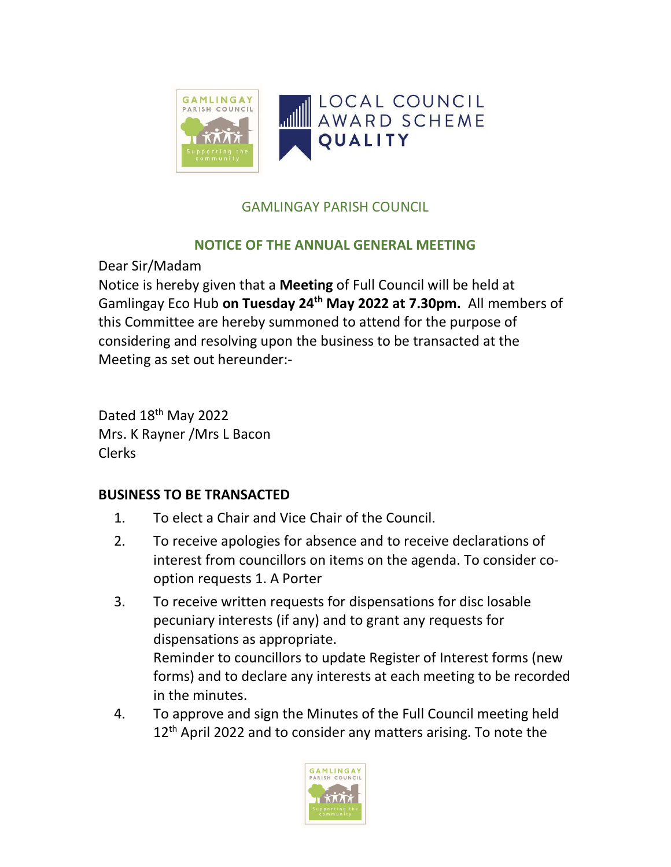

## GAMLINGAY PARISH COUNCIL

## NOTICE OF THE ANNUAL GENERAL MEETING

Dear Sir/Madam

Notice is hereby given that a Meeting of Full Council will be held at Gamlingay Eco Hub on Tuesday 24<sup>th</sup> May 2022 at 7.30pm. All members of this Committee are hereby summoned to attend for the purpose of considering and resolving upon the business to be transacted at the Meeting as set out hereunder:-

Dated 18<sup>th</sup> May 2022 Mrs. K Rayner /Mrs L Bacon Clerks

## BUSINESS TO BE TRANSACTED

- 1. To elect a Chair and Vice Chair of the Council.
- 2. To receive apologies for absence and to receive declarations of interest from councillors on items on the agenda. To consider cooption requests 1. A Porter
- 3. To receive written requests for dispensations for disc losable pecuniary interests (if any) and to grant any requests for dispensations as appropriate. Reminder to councillors to update Register of Interest forms (new forms) and to declare any interests at each meeting to be recorded in the minutes.
- 4. To approve and sign the Minutes of the Full Council meeting held 12<sup>th</sup> April 2022 and to consider any matters arising. To note the

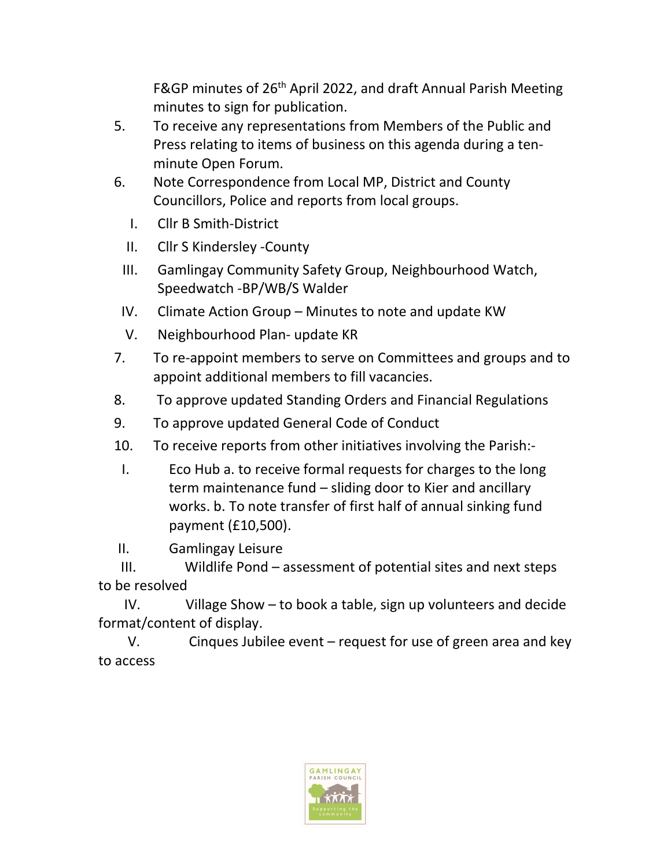F&GP minutes of 26<sup>th</sup> April 2022, and draft Annual Parish Meeting minutes to sign for publication.

- 5. To receive any representations from Members of the Public and Press relating to items of business on this agenda during a tenminute Open Forum.
- 6. Note Correspondence from Local MP, District and County Councillors, Police and reports from local groups.
	- I. Cllr B Smith-District
	- II. Cllr S Kindersley -County
- III. Gamlingay Community Safety Group, Neighbourhood Watch, Speedwatch -BP/WB/S Walder
- IV. Climate Action Group Minutes to note and update KW
- V. Neighbourhood Plan- update KR
- 7. To re-appoint members to serve on Committees and groups and to appoint additional members to fill vacancies.
- 8. To approve updated Standing Orders and Financial Regulations
- 9. To approve updated General Code of Conduct
- 10. To receive reports from other initiatives involving the Parish:-
- I. Eco Hub a. to receive formal requests for charges to the long term maintenance fund – sliding door to Kier and ancillary works. b. To note transfer of first half of annual sinking fund payment (£10,500).
- II. Gamlingay Leisure

 III. Wildlife Pond – assessment of potential sites and next steps to be resolved

 IV. Village Show – to book a table, sign up volunteers and decide format/content of display.

 V. Cinques Jubilee event – request for use of green area and key to access